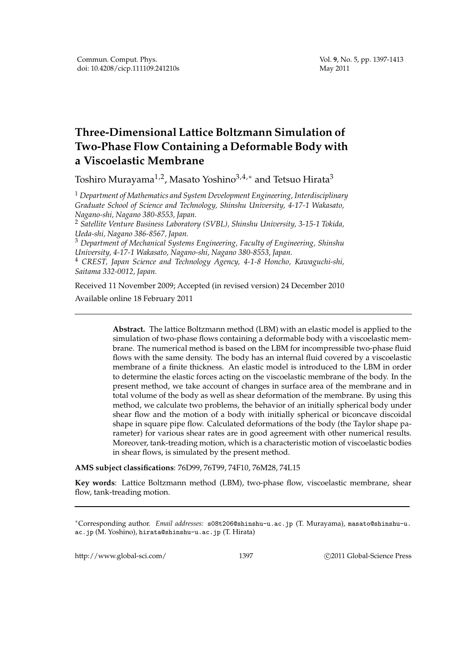## **Three-Dimensional Lattice Boltzmann Simulation of Two-Phase Flow Containing a Deformable Body with a Viscoelastic Membrane**

Toshiro Murayama<sup>1,2</sup>, Masato Yoshino<sup>3,4,∗</sup> and Tetsuo Hirata<sup>3</sup>

<sup>1</sup> *Department of Mathematics and System Development Engineering, Interdisciplinary Graduate School of Science and Technology, Shinshu University, 4-17-1 Wakasato, Nagano-shi, Nagano 380-8553, Japan.*

<sup>2</sup> *Satellite Venture Business Laboratory (SVBL), Shinshu University, 3-15-1 Tokida, Ueda-shi, Nagano 386-8567, Japan.*

<sup>3</sup> *Department of Mechanical Systems Engineering, Faculty of Engineering, Shinshu University, 4-17-1 Wakasato, Nagano-shi, Nagano 380-8553, Japan.*

<sup>4</sup> *CREST, Japan Science and Technology Agency, 4-1-8 Honcho, Kawaguchi-shi, Saitama 332-0012, Japan.*

Received 11 November 2009; Accepted (in revised version) 24 December 2010 Available online 18 February 2011

> **Abstract.** The lattice Boltzmann method (LBM) with an elastic model is applied to the simulation of two-phase flows containing a deformable body with a viscoelastic membrane. The numerical method is based on the LBM for incompressible two-phase fluid flows with the same density. The body has an internal fluid covered by a viscoelastic membrane of a finite thickness. An elastic model is introduced to the LBM in order to determine the elastic forces acting on the viscoelastic membrane of the body. In the present method, we take account of changes in surface area of the membrane and in total volume of the body as well as shear deformation of the membrane. By using this method, we calculate two problems, the behavior of an initially spherical body under shear flow and the motion of a body with initially spherical or biconcave discoidal shape in square pipe flow. Calculated deformations of the body (the Taylor shape parameter) for various shear rates are in good agreement with other numerical results. Moreover, tank-treading motion, which is a characteristic motion of viscoelastic bodies in shear flows, is simulated by the present method.

**AMS subject classifications**: 76D99, 76T99, 74F10, 76M28, 74L15

**Key words**: Lattice Boltzmann method (LBM), two-phase flow, viscoelastic membrane, shear flow, tank-treading motion.

http://www.global-sci.com/ 1397 c 2011 Global-Science Press

<sup>∗</sup>Corresponding author. *Email addresses:* s08t206@shinshu-u.ac.jp (T. Murayama), masato@shinshu-u. ac.jp (M. Yoshino), hirata@shinshu-u.ac.jp (T. Hirata)